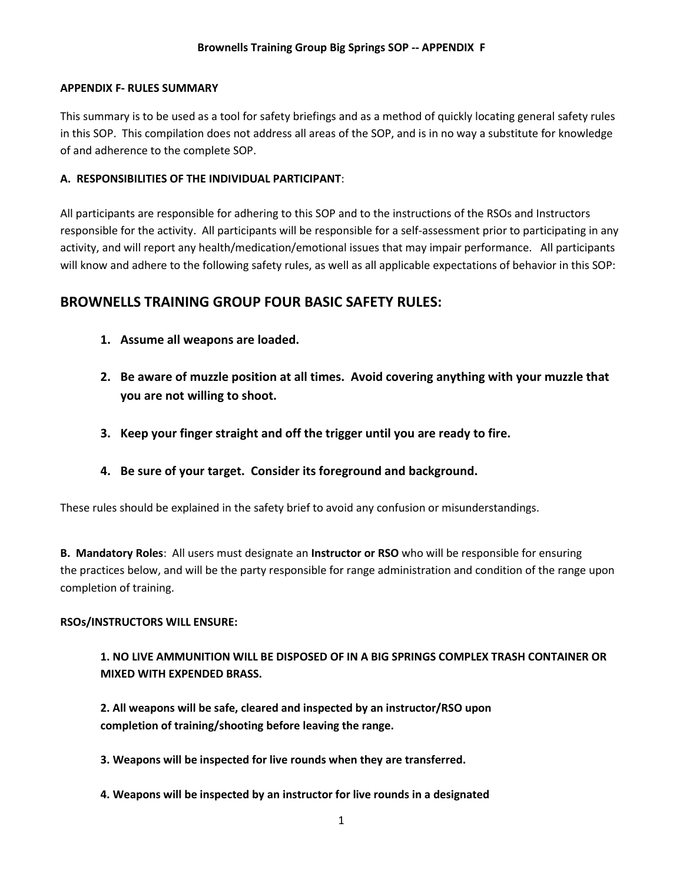### **APPENDIX F- RULES SUMMARY**

This summary is to be used as a tool for safety briefings and as a method of quickly locating general safety rules in this SOP. This compilation does not address all areas of the SOP, and is in no way a substitute for knowledge of and adherence to the complete SOP.

## **A. RESPONSIBILITIES OF THE INDIVIDUAL PARTICIPANT**:

All participants are responsible for adhering to this SOP and to the instructions of the RSOs and Instructors responsible for the activity. All participants will be responsible for a self-assessment prior to participating in any activity, and will report any health/medication/emotional issues that may impair performance. All participants will know and adhere to the following safety rules, as well as all applicable expectations of behavior in this SOP:

# **BROWNELLS TRAINING GROUP FOUR BASIC SAFETY RULES:**

- **1. Assume all weapons are loaded.**
- **2. Be aware of muzzle position at all times. Avoid covering anything with your muzzle that you are not willing to shoot.**
- **3. Keep your finger straight and off the trigger until you are ready to fire.**
- **4. Be sure of your target. Consider its foreground and background.**

These rules should be explained in the safety brief to avoid any confusion or misunderstandings.

**B. Mandatory Roles**: All users must designate an **Instructor or RSO** who will be responsible for ensuring the practices below, and will be the party responsible for range administration and condition of the range upon completion of training.

## **RSOs/INSTRUCTORS WILL ENSURE:**

**1. NO LIVE AMMUNITION WILL BE DISPOSED OF IN A BIG SPRINGS COMPLEX TRASH CONTAINER OR MIXED WITH EXPENDED BRASS.**

**2. All weapons will be safe, cleared and inspected by an instructor/RSO upon completion of training/shooting before leaving the range.** 

**3. Weapons will be inspected for live rounds when they are transferred.** 

**4. Weapons will be inspected by an instructor for live rounds in a designated**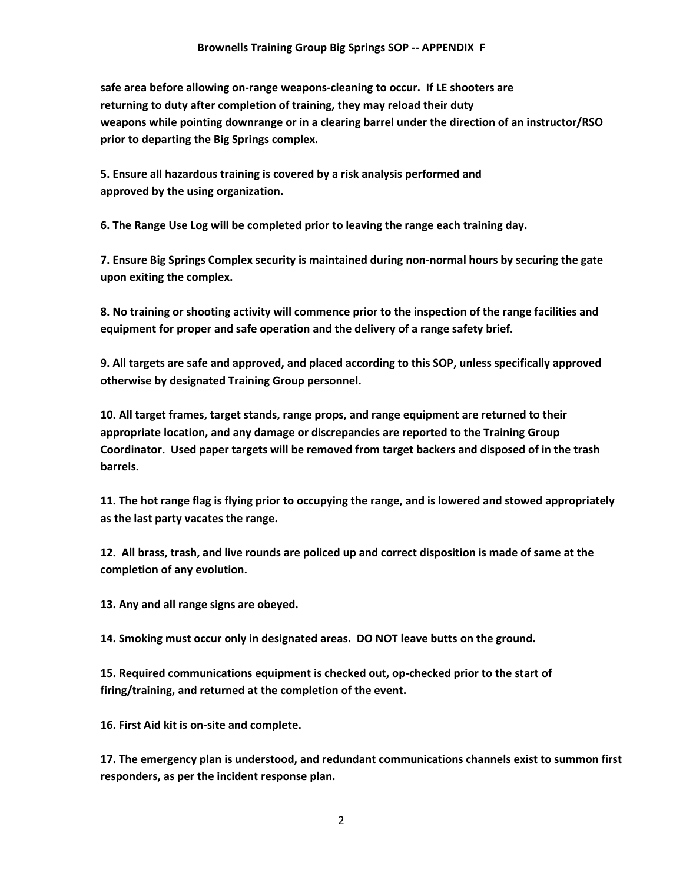**safe area before allowing on-range weapons-cleaning to occur. If LE shooters are returning to duty after completion of training, they may reload their duty weapons while pointing downrange or in a clearing barrel under the direction of an instructor/RSO prior to departing the Big Springs complex.** 

**5. Ensure all hazardous training is covered by a risk analysis performed and approved by the using organization.** 

**6. The Range Use Log will be completed prior to leaving the range each training day.** 

**7. Ensure Big Springs Complex security is maintained during non-normal hours by securing the gate upon exiting the complex.**

**8. No training or shooting activity will commence prior to the inspection of the range facilities and equipment for proper and safe operation and the delivery of a range safety brief.**

**9. All targets are safe and approved, and placed according to this SOP, unless specifically approved otherwise by designated Training Group personnel.**

**10. All target frames, target stands, range props, and range equipment are returned to their appropriate location, and any damage or discrepancies are reported to the Training Group Coordinator. Used paper targets will be removed from target backers and disposed of in the trash barrels.**

**11. The hot range flag is flying prior to occupying the range, and is lowered and stowed appropriately as the last party vacates the range.**

**12. All brass, trash, and live rounds are policed up and correct disposition is made of same at the completion of any evolution.**

**13. Any and all range signs are obeyed.**

**14. Smoking must occur only in designated areas. DO NOT leave butts on the ground.**

**15. Required communications equipment is checked out, op-checked prior to the start of firing/training, and returned at the completion of the event.**

**16. First Aid kit is on-site and complete.**

**17. The emergency plan is understood, and redundant communications channels exist to summon first responders, as per the incident response plan.**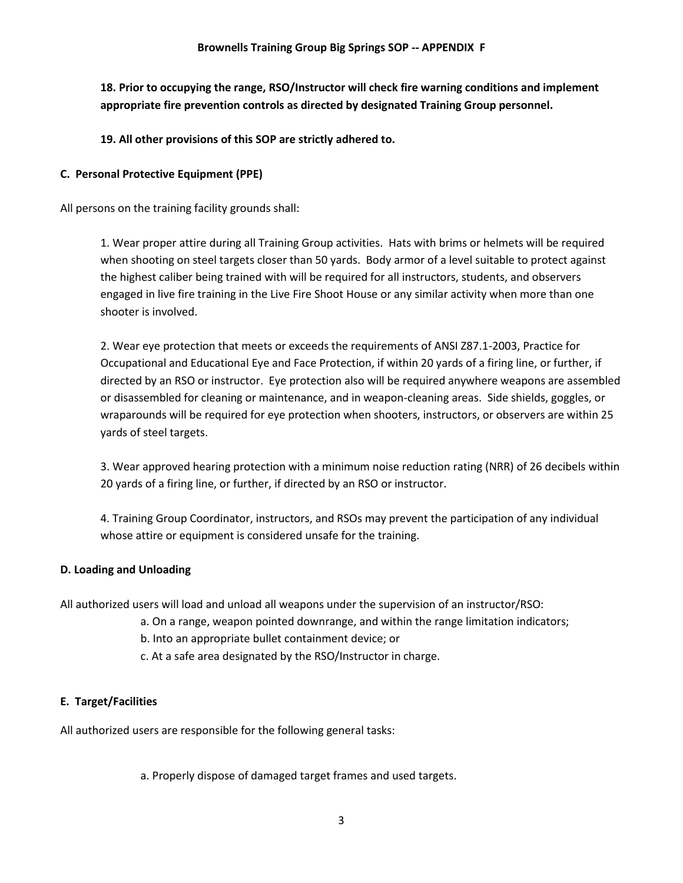**18. Prior to occupying the range, RSO/Instructor will check fire warning conditions and implement appropriate fire prevention controls as directed by designated Training Group personnel.**

**19. All other provisions of this SOP are strictly adhered to.**

# **C. Personal Protective Equipment (PPE)**

All persons on the training facility grounds shall:

1. Wear proper attire during all Training Group activities. Hats with brims or helmets will be required when shooting on steel targets closer than 50 yards. Body armor of a level suitable to protect against the highest caliber being trained with will be required for all instructors, students, and observers engaged in live fire training in the Live Fire Shoot House or any similar activity when more than one shooter is involved.

2. Wear eye protection that meets or exceeds the requirements of ANSI Z87.1-2003, Practice for Occupational and Educational Eye and Face Protection, if within 20 yards of a firing line, or further, if directed by an RSO or instructor. Eye protection also will be required anywhere weapons are assembled or disassembled for cleaning or maintenance, and in weapon-cleaning areas. Side shields, goggles, or wraparounds will be required for eye protection when shooters, instructors, or observers are within 25 yards of steel targets.

3. Wear approved hearing protection with a minimum noise reduction rating (NRR) of 26 decibels within 20 yards of a firing line, or further, if directed by an RSO or instructor.

4. Training Group Coordinator, instructors, and RSOs may prevent the participation of any individual whose attire or equipment is considered unsafe for the training.

## **D. Loading and Unloading**

All authorized users will load and unload all weapons under the supervision of an instructor/RSO:

- a. On a range, weapon pointed downrange, and within the range limitation indicators;
	- b. Into an appropriate bullet containment device; or
	- c. At a safe area designated by the RSO/Instructor in charge.

## **E. Target/Facilities**

All authorized users are responsible for the following general tasks:

a. Properly dispose of damaged target frames and used targets.